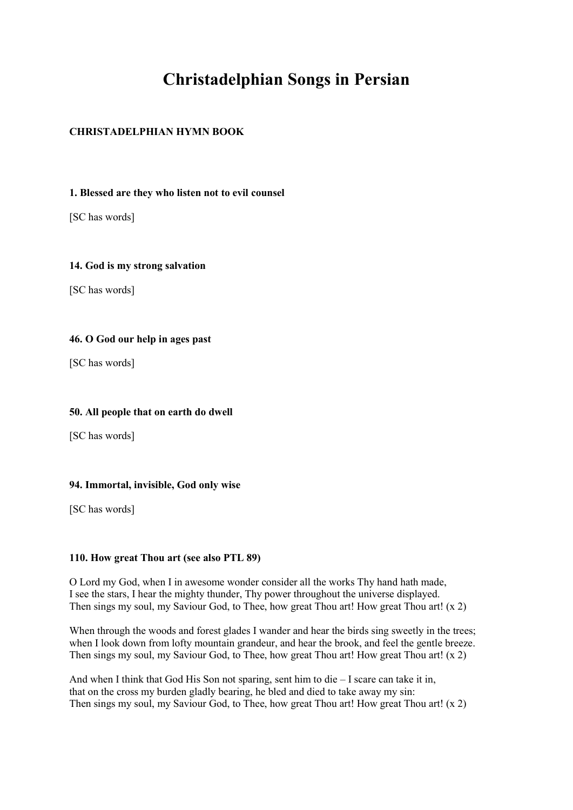# Christadelphian Songs in Persian

# CHRISTADELPHIAN HYMN BOOK

# 1. Blessed are they who listen not to evil counsel

[SC has words]

# 14. God is my strong salvation

[SC has words]

# 46. O God our help in ages past

[SC has words]

# 50. All people that on earth do dwell

[SC has words]

# 94. Immortal, invisible, God only wise

[SC has words]

# 110. How great Thou art (see also PTL 89)

O Lord my God, when I in awesome wonder consider all the works Thy hand hath made, I see the stars, I hear the mighty thunder, Thy power throughout the universe displayed. Then sings my soul, my Saviour God, to Thee, how great Thou art! How great Thou art! (x 2)

When through the woods and forest glades I wander and hear the birds sing sweetly in the trees; when I look down from lofty mountain grandeur, and hear the brook, and feel the gentle breeze. Then sings my soul, my Saviour God, to Thee, how great Thou art! How great Thou art! (x 2)

And when I think that God His Son not sparing, sent him to die  $-$  I scare can take it in, that on the cross my burden gladly bearing, he bled and died to take away my sin: Then sings my soul, my Saviour God, to Thee, how great Thou art! How great Thou art! (x 2)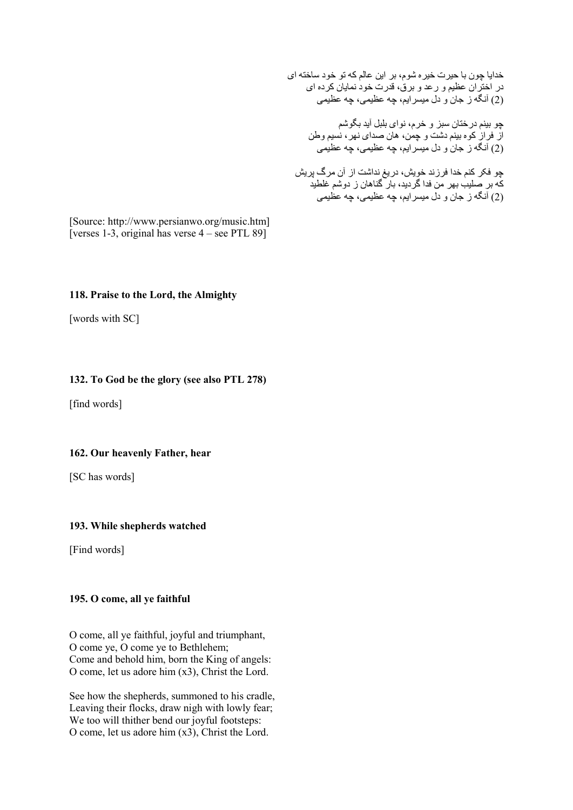خدايا چون با حيرت خيره شوم، بر اين عالم که تو خود ساخته ای در اختران عظيم و رعد و برق، قدرت خود نمايان کرده ای آنگه ز جان و دل ميسرايم، چه عظيمی، چه عظيم (2) ی

چو بينم درختان سبز و خرم، نوای بلبل آيد بگوشم از فراز کوه بينم دشت و چمن، هان صدای نهر، نسيم وطن آنگه ز جان و دل ميسرايم، چه عظيمی، چه عظيم (2) ی

چو فکر کنم خدا فرزند خويش، دريغ نداشت از آن مرگ پريش که بر صليب بهر من فدا گرديد، بار گناهان ز دوشم غلطيد آنگه ز جان و دل ميسرايم، چه عظيمی، چه عظيم (2) ی

[Source: http://www.persianwo.org/music.htm] [verses 1-3, original has verse 4 – see PTL 89]

## 118. Praise to the Lord, the Almighty

[words with SC]

## 132. To God be the glory (see also PTL 278)

[find words]

## 162. Our heavenly Father, hear

[SC has words]

#### 193. While shepherds watched

[Find words]

#### 195. O come, all ye faithful

O come, all ye faithful, joyful and triumphant, O come ye, O come ye to Bethlehem; Come and behold him, born the King of angels: O come, let us adore him (x3), Christ the Lord.

See how the shepherds, summoned to his cradle, Leaving their flocks, draw nigh with lowly fear; We too will thither bend our joyful footsteps: O come, let us adore him (x3), Christ the Lord.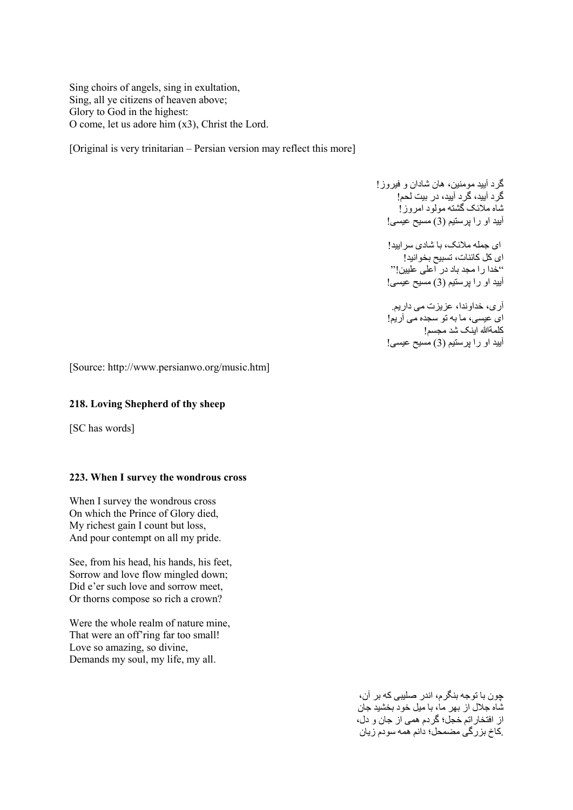Sing choirs of angels, sing in exultation, Sing, all ye citizens of heaven above; Glory to God in the highest: O come, let us adore him (x3), Christ the Lord.

[Original is very trinitarian – Persian version may reflect this more]

گرد آييد مومنين، هان شادان و فيروز ! گرد آييد، گرد آييد، در بيت لحم ! شاه ملائک گشته مولود امروز ! آييد او را پرستيم (3) مسيح عيسی !

 ای جمله ملائک، با شادی سراييد ! ای کل کائنات، تسبيح بخوانيد ! "خدا را مجد باد در اعلی عليين! " آييد او را پرستيم (3) مسيح عيسی !

آری، خداوندا، عزيزت می داريم . ای عيسی، ما به تو سجده می آريم ! کلمةالله اينک شد مجسم ! آييد او را پرستيم (3) مسيح عيسی !

[Source: http://www.persianwo.org/music.htm]

#### 218. Loving Shepherd of thy sheep

[SC has words]

#### 223. When I survey the wondrous cross

When I survey the wondrous cross On which the Prince of Glory died, My richest gain I count but loss, And pour contempt on all my pride.

See, from his head, his hands, his feet, Sorrow and love flow mingled down; Did e'er such love and sorrow meet, Or thorns compose so rich a crown?

Were the whole realm of nature mine, That were an off'ring far too small! Love so amazing, so divine, Demands my soul, my life, my all.

> چون با توجه بنگرم، اندر صليبی که بر آن، شاه جلال از بهر ما، با ميل خود بخشيد جان از افتخاراتم خجل؛ گردم همی از جان و دل، .کاخ بزرگی مضمحل؛ دانم همه سودم زيان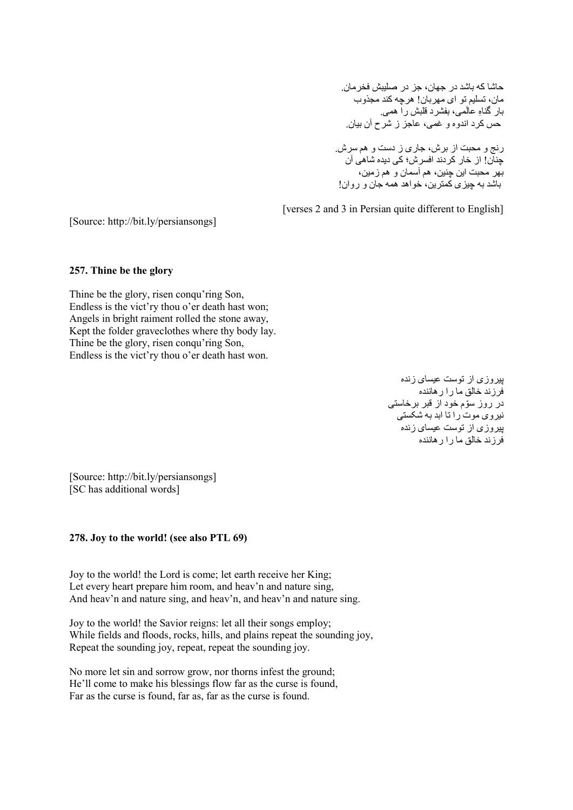حاشا که باشد در جهان، جز در صليبش فخرمان . مان، تسليم تو ای مهربان! هرچه کند مجذوب بار گناِه عالَمی، بفشرد قلبش را همی . حس کرد اندوه و غمی، عاجز ز شرح آن بيان . رنج و محبت از برش، جاری ز دست و هم سرش . جنآن! از خار کردند افسرش؛ کی ديده شاهی آن .<br>بهر محبت اين چنين، هم آسمان و هم زمين، باشد به چيزی کمترين، خواهد همه جان و روان !

[verses 2 and 3 in Persian quite different to English]

[Source: http://bit.ly/persiansongs]

## 257. Thine be the glory

Thine be the glory, risen conqu'ring Son, Endless is the vict'ry thou o'er death hast won; Angels in bright raiment rolled the stone away, Kept the folder graveclothes where thy body lay. Thine be the glory, risen conqu'ring Son, Endless is the vict'ry thou o'er death hast won.

> پيروزی از توست عيسای زنده فرزند خالق ما را رهاننده در روز سّوم خود از قبر برخاست ی نيروی موت را تا ابد به شکست ی پيروزی از توست عيسای زنده .<br>فرزند خالق ما را ر هاننده

[Source: http://bit.ly/persiansongs] [SC has additional words]

## 278. Joy to the world! (see also PTL 69)

Joy to the world! the Lord is come; let earth receive her King; Let every heart prepare him room, and heav'n and nature sing, And heav'n and nature sing, and heav'n, and heav'n and nature sing.

Joy to the world! the Savior reigns: let all their songs employ; While fields and floods, rocks, hills, and plains repeat the sounding joy, Repeat the sounding joy, repeat, repeat the sounding joy.

No more let sin and sorrow grow, nor thorns infest the ground; He'll come to make his blessings flow far as the curse is found, Far as the curse is found, far as, far as the curse is found.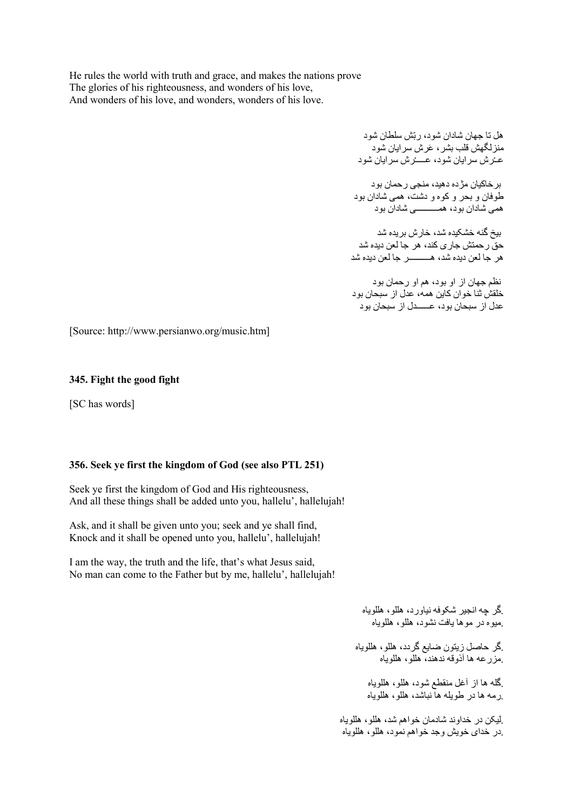He rules the world with truth and grace, and makes the nations prove The glories of his righteousness, and wonders of his love, And wonders of his love, and wonders, wonders of his love.

> هل تا جهان شادان شود، ربّش سلطان شود منزلگهش قلب بشر، َعرش سرايان شود عــُرش سرايان شود، عــــــُرش سرايان شود

 برخاکيان مژده دهيد، منجی رحمان بود طوفان و بحر و کوه و دشت، همی شادان بود همی شادان بود، همــــــــــی شادان بود

 بيخ گنه خشکيده شد، خارش بريده شد حق رحمتش جاری کند، هر جا لعن ديده شد هر جا لعن ديده شد، هــــــــــر جا لعن ديده شد

 نظم جهان از او بود، هم او رحمان بود خلقش ثنا خوان کاين همه، عدل از سبحان بود عدل از سبحان بود، عــــــدل از سبحان بود

[Source: http://www.persianwo.org/music.htm]

## 345. Fight the good fight

[SC has words]

#### 356. Seek ye first the kingdom of God (see also PTL 251)

Seek ye first the kingdom of God and His righteousness, And all these things shall be added unto you, hallelu', hallelujah!

Ask, and it shall be given unto you; seek and ye shall find, Knock and it shall be opened unto you, hallelu', hallelujah!

I am the way, the truth and the life, that's what Jesus said, No man can come to the Father but by me, hallelu', hallelujah!

> .گر چه انجير شکوفه نياورد، هللو، هللوياه .ميوه در موها يافت نشود، هللو، هللوياه

 .گر حاصل زيتون ضايع گردد، هللو، هللوياه .مزرعه ها آذوقه ندهند، هللو، هللوياه

 .گله ها از آغل منقطع شود، هللو، هللوياه .رمه ها در طويله ها نباشد، هللو، هللوياه

 .ليکن در خداوند شادمان خواهم شد، هللو، هللوياه .در خدای خويش وجد خواهم نمود، هللو، هللوياه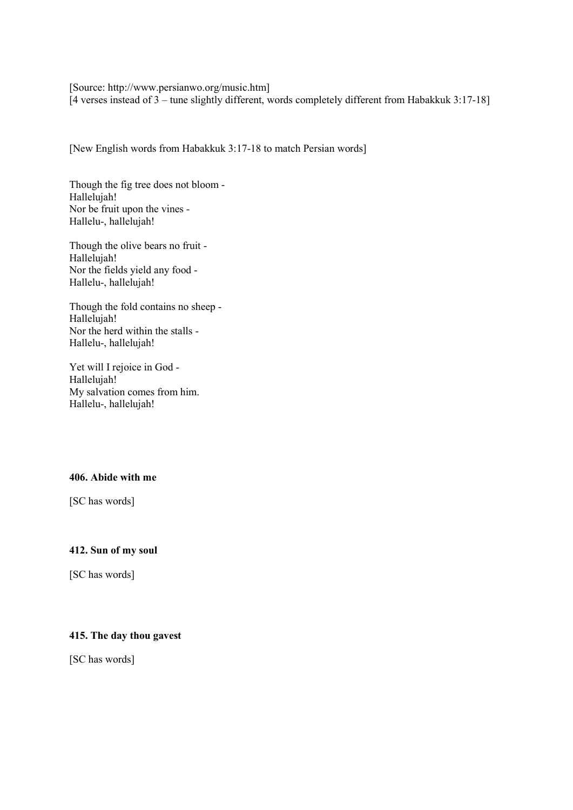[Source: http://www.persianwo.org/music.htm] [4 verses instead of 3 – tune slightly different, words completely different from Habakkuk 3:17-18]

[New English words from Habakkuk 3:17-18 to match Persian words]

Though the fig tree does not bloom - Hallelujah! Nor be fruit upon the vines - Hallelu-, hallelujah!

Though the olive bears no fruit - Hallelujah! Nor the fields yield any food - Hallelu-, hallelujah!

Though the fold contains no sheep - Hallelujah! Nor the herd within the stalls - Hallelu-, hallelujah!

Yet will I rejoice in God - Hallelujah! My salvation comes from him. Hallelu-, hallelujah!

# 406. Abide with me

[SC has words]

# 412. Sun of my soul

[SC has words]

# 415. The day thou gavest

[SC has words]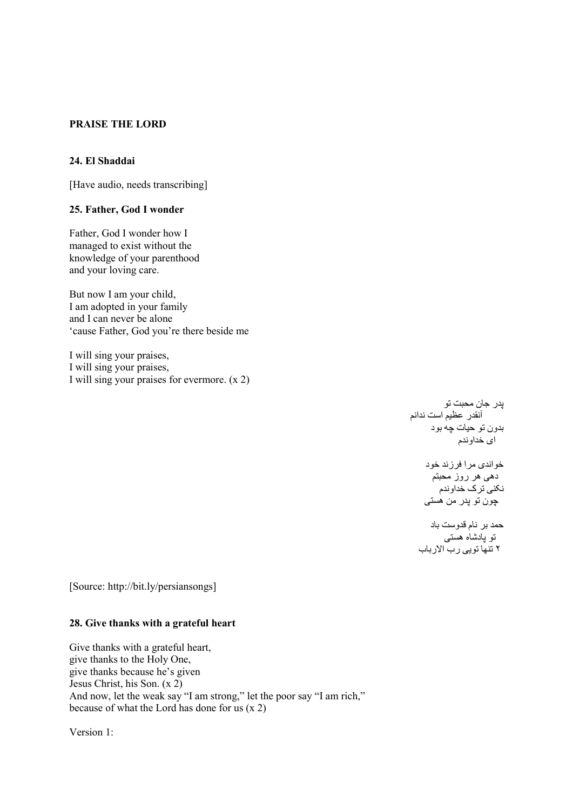## PRAISE THE LORD

## 24. El Shaddai

[Have audio, needs transcribing]

# 25. Father, God I wonder

Father, God I wonder how I managed to exist without the knowledge of your parenthood and your loving care.

But now I am your child, I am adopted in your family and I can never be alone 'cause Father, God you're there beside me

I will sing your praises, I will sing your praises, I will sing your praises for evermore. (x 2)

> پدر جان محبت تو آنقدر عظيم است ندانم بدون تو حيات چه بود ای خداوندم

> > خواندی مرا فرزند خود دهی هر روز محبتم نکنی ترک خداوندم چون تو پدر من هستی

حمد بر نام قدوست باد تو پادشاه هستی ٢ تنها تويی رب الارباب

[Source: http://bit.ly/persiansongs]

## 28. Give thanks with a grateful heart

Give thanks with a grateful heart, give thanks to the Holy One, give thanks because he's given Jesus Christ, his Son. (x 2) And now, let the weak say "I am strong," let the poor say "I am rich," because of what the Lord has done for us (x 2)

Version 1: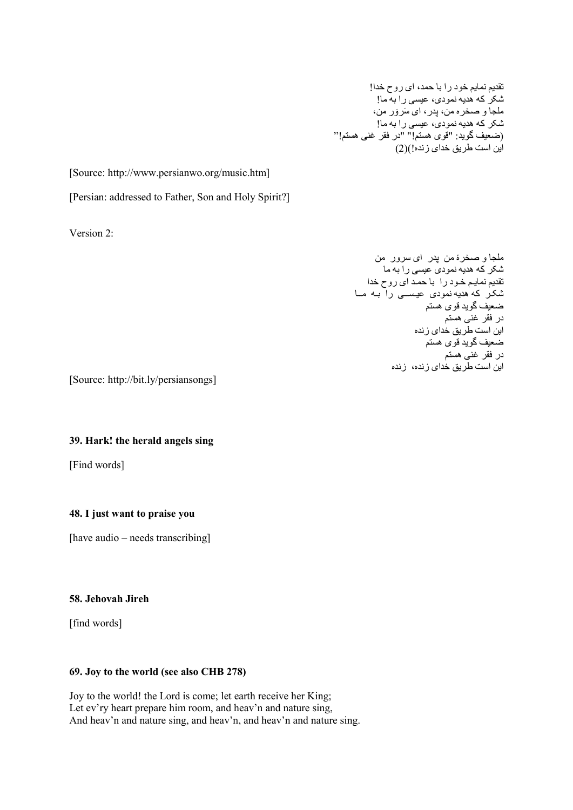تقديم نمايم خود را با حمد، ای روح خدا! شکر که هديه نمودی، عيسی را به ما! ملجا و صخره من، پدر ، ای سَروَر من، شکر که هديه نمودی، عيسی را به ما! (ضعيف گويد: "قوی هستم!" "در فقر غنی هستم!" اين است طريق خدای زنده!)(2 )

[Source: http://www.persianwo.org/music.htm]

[Persian: addressed to Father, Son and Holy Spirit?]

Version 2:

ملجا و صخرۀ من پدر ای سرور من شکر که هديه نمودی عيسی را به ما تقديم نمايـم خـود را با حمـد ای روح خدا شکـر که هديه نمودی عيـســی را بـه مــا ضعيف گويد قوی هستم در فقر غنی هستم اين است طريق خدای زنده ضعيف گويد قوی هستم در فقر غنی هستم اين است طريق خدای زنده، زنده

[Source: http://bit.ly/persiansongs]

## 39. Hark! the herald angels sing

[Find words]

# 48. I just want to praise you

[have audio – needs transcribing]

#### 58. Jehovah Jireh

[find words]

#### 69. Joy to the world (see also CHB 278)

Joy to the world! the Lord is come; let earth receive her King; Let ev'ry heart prepare him room, and heav'n and nature sing, And heav'n and nature sing, and heav'n, and heav'n and nature sing.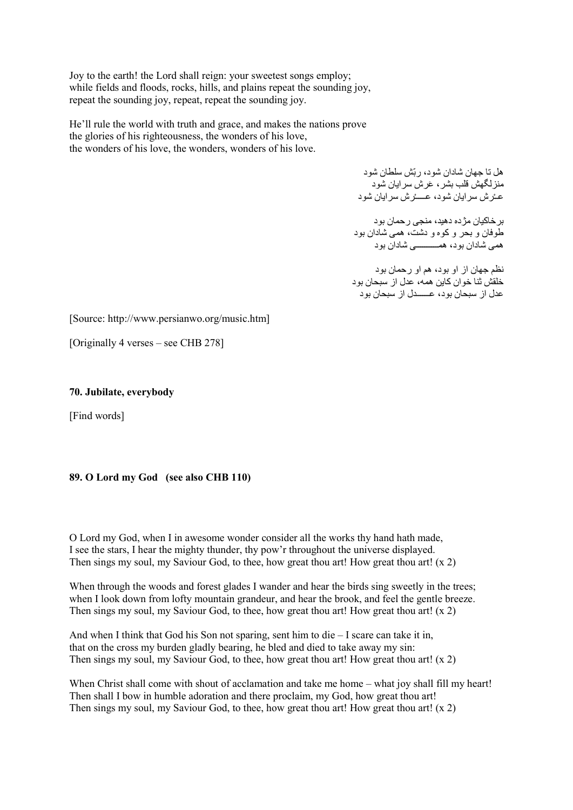Joy to the earth! the Lord shall reign: your sweetest songs employ; while fields and floods, rocks, hills, and plains repeat the sounding joy, repeat the sounding joy, repeat, repeat the sounding joy.

He'll rule the world with truth and grace, and makes the nations prove the glories of his righteousness, the wonders of his love, the wonders of his love, the wonders, wonders of his love.

> هل تا جهان شادان شود، ربّش سلطان شود منزلگهش قلب بشر، َعرش سرايان شود عــُرش سرايان شود، عــــــُرش سرايان شود

برخاکيان مژده دهيد، منجی رحمان بود طوفان و بحر و کوه و دشت، همی شادان بود همی شادان بود، همــــــــــی شادان بود

نظم جهان از او بود، هم او رحمان بود خلقش ثنا خوان کاين همه، عدل از سبحان بود عدل از سبحان بود، عــــــدل از سبحان بود

[Source: http://www.persianwo.org/music.htm]

[Originally 4 verses – see CHB 278]

## 70. Jubilate, everybody

[Find words]

# 89. O Lord my God (see also CHB 110)

O Lord my God, when I in awesome wonder consider all the works thy hand hath made, I see the stars, I hear the mighty thunder, thy pow'r throughout the universe displayed. Then sings my soul, my Saviour God, to thee, how great thou art! How great thou art! (x 2)

When through the woods and forest glades I wander and hear the birds sing sweetly in the trees; when I look down from lofty mountain grandeur, and hear the brook, and feel the gentle breeze. Then sings my soul, my Saviour God, to thee, how great thou art! How great thou art! (x 2)

And when I think that God his Son not sparing, sent him to die  $-$ I scare can take it in, that on the cross my burden gladly bearing, he bled and died to take away my sin: Then sings my soul, my Saviour God, to thee, how great thou art! How great thou art! (x 2)

When Christ shall come with shout of acclamation and take me home – what joy shall fill my heart! Then shall I bow in humble adoration and there proclaim, my God, how great thou art! Then sings my soul, my Saviour God, to thee, how great thou art! How great thou art! (x 2)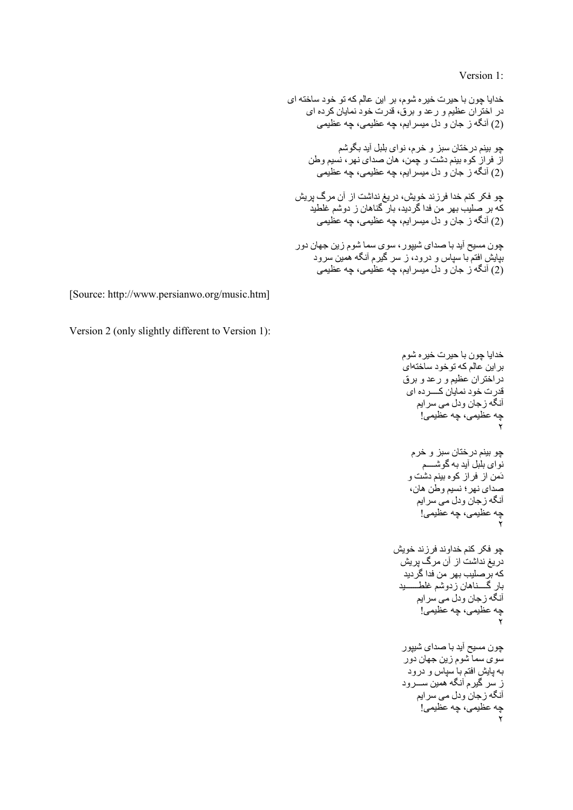Version 1:

خدايا چون با حيرت خيره شوم، بر اين عالم که تو خود ساخته ای در اختران عظيم و رعد و برق، قدرت خود نمايان کرده ای آنگه ز جان و دل ميسرايم، چه عظيمی، چه عظيم (2) ی

چو بينم درختان سبز و خرم، نوای بلبل آيد بگوشم از فراز کوه بينم دشت و چمن، هان صدای نهر، نسيم وطن آنگه ز جان و دل ميسرايم، چه عظيمی، چه عظيم (2) ی

چو فکر کنم خدا فرزند خويش، دريغ نداشت از آن مرگ پريش که بر صليب بهر من فدا گرديد، بار گناهان ز دوشم غلطيد آنگه ز جان و دل ميسرايم، چه عظيمی، چه عظيم (2) ی

چون مسيح آيد با صدای شيپور، سوی سما شوم زين جهان دور بپايش افتم با سپاس و درود، ز سر گيرم آنگه همين سرود آنگه ز جان و دل ميسرايم، چه عظيمی، چه عظيم (2) ی

[Source: http://www.persianwo.org/music.htm]

Version 2 (only slightly different to Version 1):

```
خدايا چون با حيرت خيره شوم
  براين عالم که توخود ساختهای 
  دراختران عظيم و رعد و برق
   قدرت خود نمايان کــــرده ای
      آنگه زجان ودل می سرايم
      چه عظيمی، چه عظيمی !
                            ٢
     چو بينم درختان سبز و خرم
        نوای بلبل آيد به گوشــــم
   دَمن از فراز کوه بينم دشت و
    صدای نهر؛ نسيم وطن هان،
      سطان کې<br>آنگه زجان ودل مي سرايع
       چه عظيمی، چه عظيمی !
                            ٢
چو فکر کنم خداوند فرزند خويش
 .<br>دريغ نداشت از آن مرگ پريش
  که برصليب بهر من فدا گردي د 
 بار گــــناهان زدوشم غلطــــــي د
      آنگه زجان ودل می سرايم
      چه عظيمی، چه عظيمی !
                            ٢
  چون مسيح آيد با صدای شيپور
  سوی سما شوم زين جهان دور
   به پايش افتم با سپاس و درود 
  ز سر گيرم آنگه همين ســـرود
      ر<br>آنگه زجان ودل می سرايم
       چه عظيمی، چه عظيمی !
                            ٢
```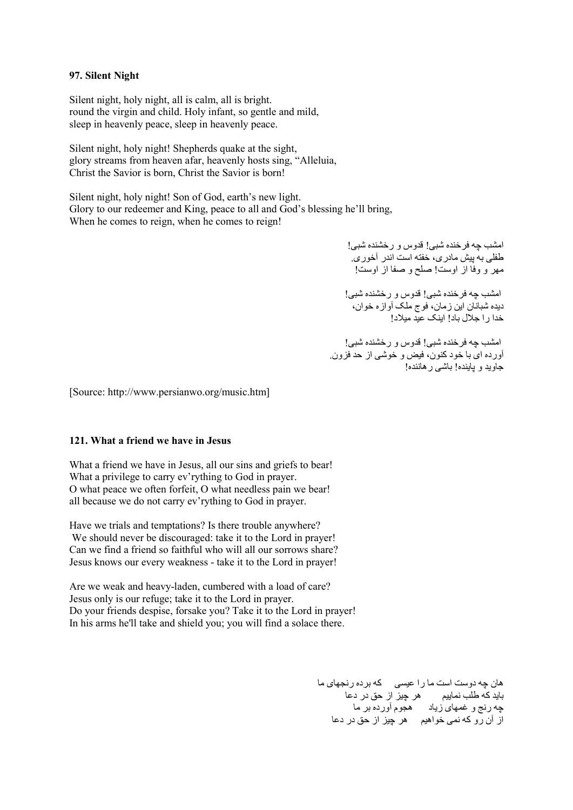## 97. Silent Night

Silent night, holy night, all is calm, all is bright. round the virgin and child. Holy infant, so gentle and mild, sleep in heavenly peace, sleep in heavenly peace.

Silent night, holy night! Shepherds quake at the sight, glory streams from heaven afar, heavenly hosts sing, "Alleluia, Christ the Savior is born, Christ the Savior is born!

Silent night, holy night! Son of God, earth's new light. Glory to our redeemer and King, peace to all and God's blessing he'll bring, When he comes to reign, when he comes to reign!

> امشب چه فرخنده شبی! قدوس و رخشنده شبی ! طفلی به پيش مادری، خفته است اندر آخوری . مهر و وفا از اوست ! صلح و صفا از اوست !

 امشب چه فرخنده شبی! قدوس و رخشنده شبی ! ديده شبانان اين زمان، فوج ملک آوازه خوان، خدا ر ا جلال باد! اينک عيد ميلاد!

 امشب چه فرخنده شبی! قدوس و رخشنده شبی ! آورده ای با خود کنون، فيض و خوشی از حد فزون . .<br>جاويد و پاينده! باشي رهاننده!

[Source: http://www.persianwo.org/music.htm]

## 121. What a friend we have in Jesus

What a friend we have in Jesus, all our sins and griefs to bear! What a privilege to carry ev'rything to God in prayer. O what peace we often forfeit, O what needless pain we bear! all because we do not carry ev'rything to God in prayer.

Have we trials and temptations? Is there trouble anywhere? We should never be discouraged: take it to the Lord in prayer! Can we find a friend so faithful who will all our sorrows share? Jesus knows our every weakness - take it to the Lord in prayer!

Are we weak and heavy-laden, cumbered with a load of care? Jesus only is our refuge; take it to the Lord in prayer. Do your friends despise, forsake you? Take it to the Lord in prayer! In his arms he'll take and shield you; you will find a solace there.

> هان چه دوست است ما را عيسی که برده رنجهای ما بايد که طلب نماييم هر چيز از حق در دعا چه رنج و غمهای زياد هجوم آورده بر ما از آن رو که نمی خواهيم هر چيز از حق در دعا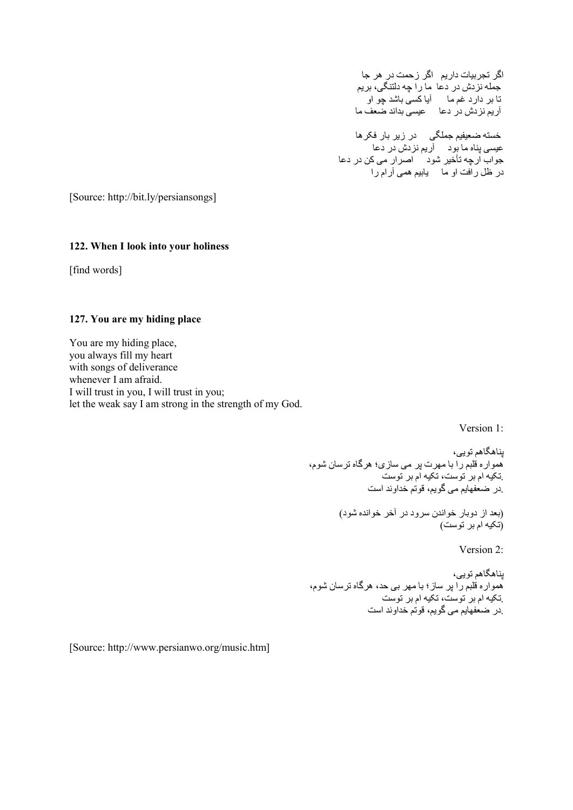اگر تجربيات داريم اگر زحمت در هر جا جمله نزدش در دعا ما را چه دلتنگی، بريم تا بر دارد غم ما آيا کسی باشد چو او آريم نزدش در دعا عيسی بداند ضعف ما خسته ضعيفيم جملگی در زير بار فکرها عيسی پناه ما بود آريم نزدش در دعا جواب ارچه تأخير شود اصرار می کن در دعا در ظل رافت او ما يابيم همی آرام را

[Source: http://bit.ly/persiansongs]

## 122. When I look into your holiness

[find words]

## 127. You are my hiding place

You are my hiding place, you always fill my heart with songs of deliverance whenever I am afraid. I will trust in you, I will trust in you; let the weak say I am strong in the strength of my God.

Version 1:

پناهگاهم تويی ، همواره قلبم را با مهرت پر می سازی؛ هرگاه ترسان شوم، .تکيه ام بر توست، تکيه ام بر توست .در ضعفهايم می گويم، قوتم خداوند است

(بعد از دوبار خواندن سرود در آخر خوانده شود) (تکيه ام بر توست)

Version 2:

```
پناهگاهم تويی ،
همواره قلبم را پر ساز؛ با مهر بی حد، هرگاه ترسان شوم، 
                     .تکيه ام بر توست، تکيه ام بر توست
                .<br>در ضعفهايم مي گويم، قوتم خداوند است
```
[Source: http://www.persianwo.org/music.htm]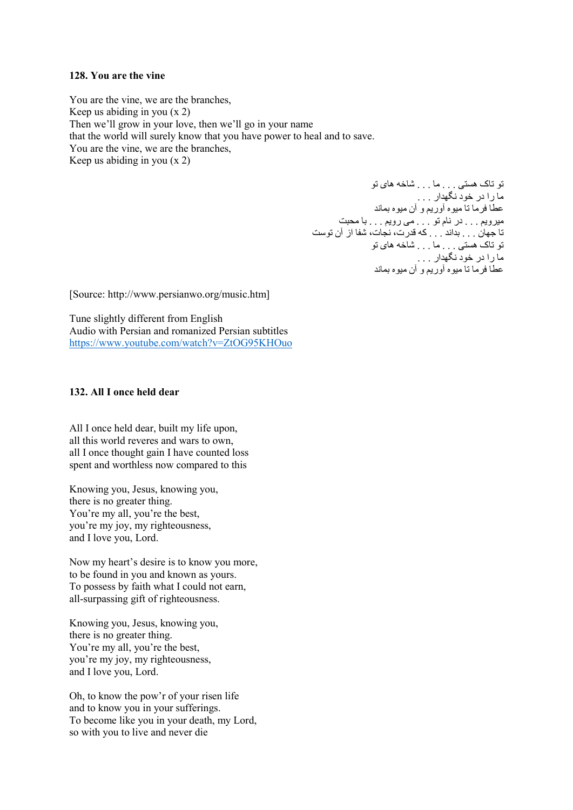### 128. You are the vine

You are the vine, we are the branches, Keep us abiding in you  $(x 2)$ Then we'll grow in your love, then we'll go in your name that the world will surely know that you have power to heal and to save. You are the vine, we are the branches, Keep us abiding in you  $(x 2)$ 

> تو تاک هستی . . . ما . . . شاخه های تو ما را در خود نگهدار . . . عطا فرما تا ميوه آوريم و آن ميوه بماند ميرويم . . . در نام تو . . . می رويم . . . با محبت تا جهان . . . بداند . . . که قدرت، نجات، شفا از آن توست تو تاک هستی . . . ما . . . شاخه های تو ما را در خود نگهدار . . . عطا فرما تا ميوه آوريم و آن ميوه بماند

[Source: http://www.persianwo.org/music.htm]

Tune slightly different from English Audio with Persian and romanized Persian subtitles https://www.youtube.com/watch?v=ZtOG95KHOuo

## 132. All I once held dear

All I once held dear, built my life upon, all this world reveres and wars to own, all I once thought gain I have counted loss spent and worthless now compared to this

Knowing you, Jesus, knowing you, there is no greater thing. You're my all, you're the best, you're my joy, my righteousness, and I love you, Lord.

Now my heart's desire is to know you more, to be found in you and known as yours. To possess by faith what I could not earn, all-surpassing gift of righteousness.

Knowing you, Jesus, knowing you, there is no greater thing. You're my all, you're the best, you're my joy, my righteousness, and I love you, Lord.

Oh, to know the pow'r of your risen life and to know you in your sufferings. To become like you in your death, my Lord, so with you to live and never die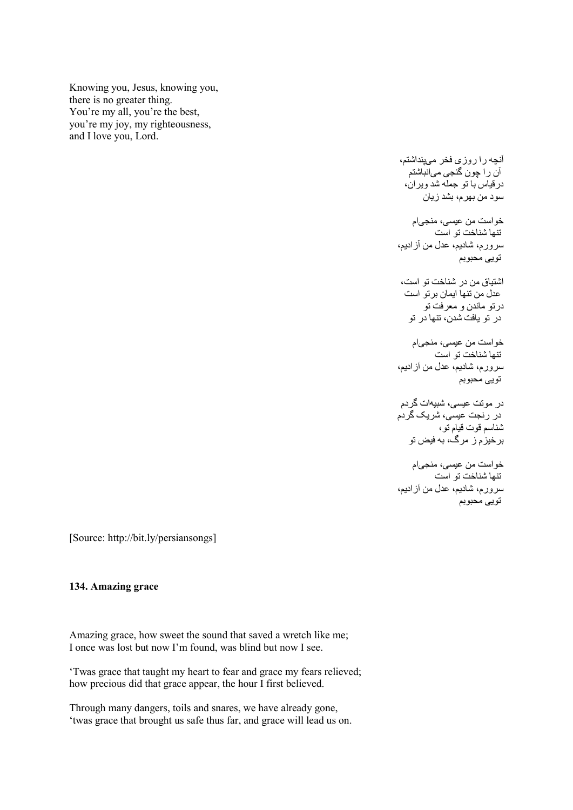Knowing you, Jesus, knowing you, there is no greater thing. You're my all, you're the best, you're my joy, my righteousness, and I love you, Lord.

> آنچه را روزی فخر میپنداشتم، آن را چون گنجی میانباشتم درقياس با تو جمله شد ويران، سود من بهرم، بشد زيان

خواست من عيسی، منجیام تنها شناخت تو ا ست سرورم، شاديم، عدل من أزاديم، تويی محبوبم

اشتياق من در شناخت تو ا ست، عدل من تنها ايمان بر تو است درتو ماندن و معرفت تو در تو يافت شدن، تنها در تو

خواست من عيسی، منجیام تنها شناخت تو ا ست سرورم، شاديم، عدل من أزاديم، تويی محبوبم

در موتت عيسی، شبيهات گردم در رنجت عيسی، شريک گردم شناسم قوت قيام تو، بر خيز م ز مر گ، به فيض تو

خواست من عيسی، منجیام تنها شناخت تو ا ست سرورم، شاديم، عدل من آزاديم، تويی محبوبم

[Source: http://bit.ly/persiansongs]

# 134. Amazing grace

Amazing grace, how sweet the sound that saved a wretch like me; I once was lost but now I'm found, was blind but now I see.

'Twas grace that taught my heart to fear and grace my fears relieved; how precious did that grace appear, the hour I first believed.

Through many dangers, toils and snares, we have already gone, 'twas grace that brought us safe thus far, and grace will lead us on.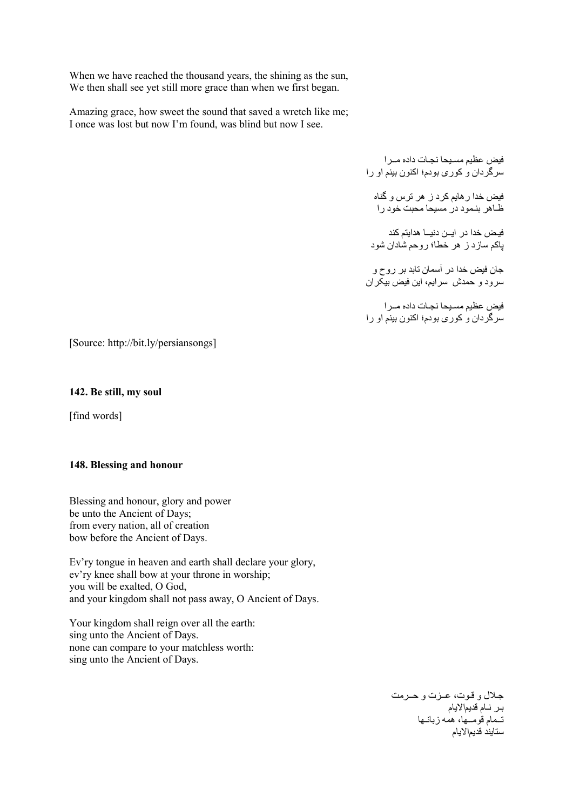When we have reached the thousand years, the shining as the sun, We then shall see yet still more grace than when we first began.

Amazing grace, how sweet the sound that saved a wretch like me; I once was lost but now I'm found, was blind but now I see.

> فيض عظيم مسـيحا نجـات داده مــرا سرگردان و کوری بودم؛ اکنون بينم او را فيض خدا رهايم کرد ز هر ترس و گناه ظـاهر بنـمود در مسيحا محبت خود را فيـض خدا در ايــن دنيــا هدايتم کند پاکم سازد ز هر خطا؛ روحم شادان شود جان فيض خدا در آسمان تابد بر روح و سرود و حمدش سرايم، اين فيض بيکران

> فيض عظيم مسـيحا نجـات داده مــرا سرگردان و کوری بودم؛ اکنون بينم او را

[Source: http://bit.ly/persiansongs]

## 142. Be still, my soul

[find words]

#### 148. Blessing and honour

Blessing and honour, glory and power be unto the Ancient of Days; from every nation, all of creation bow before the Ancient of Days.

Ev'ry tongue in heaven and earth shall declare your glory, ev'ry knee shall bow at your throne in worship; you will be exalted, O God, and your kingdom shall not pass away, O Ancient of Days.

Your kingdom shall reign over all the earth: sing unto the Ancient of Days. none can compare to your matchless worth: sing unto the Ancient of Days.

> جـلال و قـوت، عــزت و حــرمت بـر نـام قديمالايام تــمام قومــها، همه زبانـها ستايند قديمالايام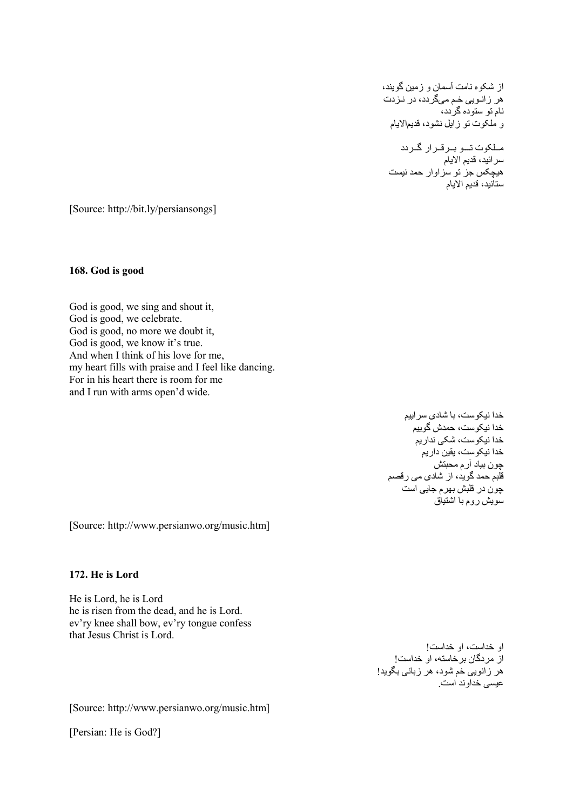از شکوه نامت آسمان و زمين گويند، هر زانـويی خـم میگردد، در نـزدت نام تو ستوده گردد، و ملکوت تو زايل نشود، قديمالايام

مــلکوت تـــو بــرقــرار گــردد سرائيد، قديم الايام هيچکس جز تو سزاوار حمد نيست ستائيد، قديم الايام

[Source: http://bit.ly/persiansongs]

168. God is good

God is good, we sing and shout it, God is good, we celebrate. God is good, no more we doubt it, God is good, we know it's true. And when I think of his love for me, my heart fills with praise and I feel like dancing. For in his heart there is room for me and I run with arms open'd wide.

> خدا نيکوست، با شادی سراييم خدا نيکوست، حمدش گوييم خدا نيکوست، شکی نداريم خدا نيکوست، يقين داريم چون بياد آرم محبتش قلبم حمد گويد، از شادی می رقصم چون در قلبش بهرم جايی است سويش روم با اشتياق

[Source: http://www.persianwo.org/music.htm]

# 172. He is Lord

He is Lord, he is Lord he is risen from the dead, and he is Lord. ev'ry knee shall bow, ev'ry tongue confess that Jesus Christ is Lord.

> او خداست، او خداست ! از مردگان برخاسته، او خداست ! هر زانويی خم شود، هر زبانی بگويد ! عيسی خداوند است .

[Source: http://www.persianwo.org/music.htm]

[Persian: He is God?]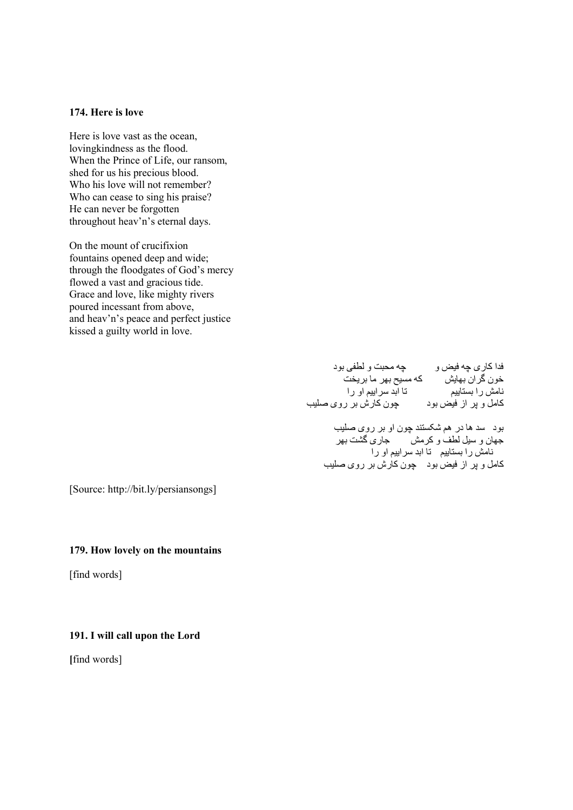## 174. Here is love

Here is love vast as the ocean, lovingkindness as the flood. When the Prince of Life, our ransom, shed for us his precious blood. Who his love will not remember? Who can cease to sing his praise? He can never be forgotten throughout heav'n's eternal days.

On the mount of crucifixion fountains opened deep and wide; through the floodgates of God's mercy flowed a vast and gracious tide. Grace and love, like mighty rivers poured incessant from above, and heav'n's peace and perfect justice kissed a guilty world in love.

> فدا کاری چه فيض و چه محبت و لطفی بود خون گَران بهايش مسلم بهر ما بريخت نامش را بستايي م تا ابد سراييم او را کامل و پر از فيض بود  $\vec{z}$  چون کارش بر روی صليب

> > بود سد ها در هم شکستند چون او بر روی صلي ب جهان و سيل لطف و کرمش جاری گشت بهر نامش را بستاييم ً تا ابد سراييم او را کامل و پر از فيض بود چون کارش بر روی صلي ب

[Source: http://bit.ly/persiansongs]

#### 179. How lovely on the mountains

[find words]

## 191. I will call upon the Lord

[find words]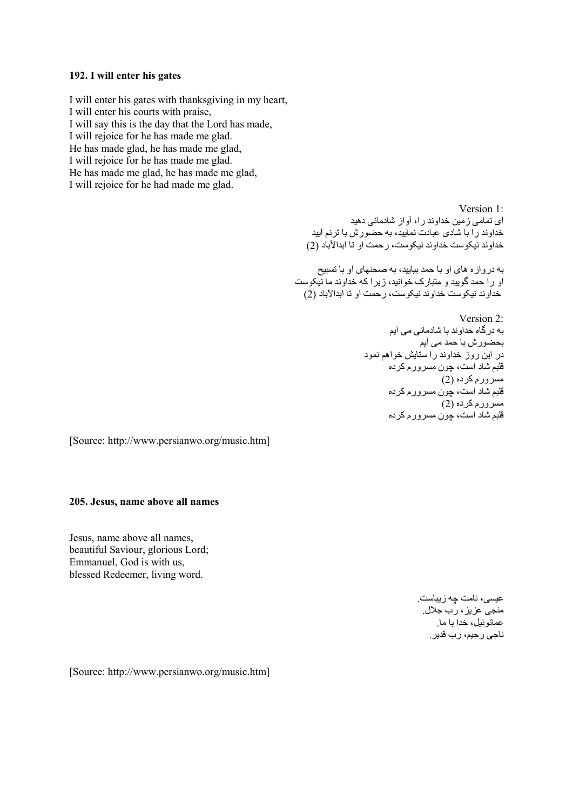## 192. I will enter his gates

I will enter his gates with thanksgiving in my heart, I will enter his courts with praise, I will say this is the day that the Lord has made, I will rejoice for he has made me glad. He has made glad, he has made me glad, I will rejoice for he has made me glad. He has made me glad, he has made me glad, I will rejoice for he had made me glad.

> Version 1: ای تمامی زمين خداوند را، آواز شادمانی دهيد خداوند را با شادی عبادت نماييد، به حضورش با ترنم آييد خداوند نيکوست خداوند نيکوست، رحمت او تا ابدالآباد (2 )

به دروازه های او با حمد بياييد، به صحنهای او با تسبيح او را حمد گوييد و متبارک خوانيد، زيرا که خداوند ما نيکوست خداوند نيکوست خداوند نيکوست، رحمت او تا ابدالآباد (2 )

> Version 2: به درگاه خداوند با شادمانی می آيم بحضورش با حمد می آيم در اين روز خداوند را ستايش خواهم نمود قلبم شاد است، چون مسرورم کرده مسرورم کرده (2 ) قلبم شاد است، چون مسرورم کرده مسرورم کرده (2 ) قلبم شاد است، چون مسرورم کرده

[Source: http://www.persianwo.org/music.htm]

## 205. Jesus, name above all names

Jesus, name above all names, beautiful Saviour, glorious Lord; Emmanuel, God is with us, blessed Redeemer, living word.

> عيسی، نامت چه زيباست . منجی عزيز، رب جلال . عمانوئيل، خدا با ما . ناجی رحيم، رب قدير .

[Source: http://www.persianwo.org/music.htm]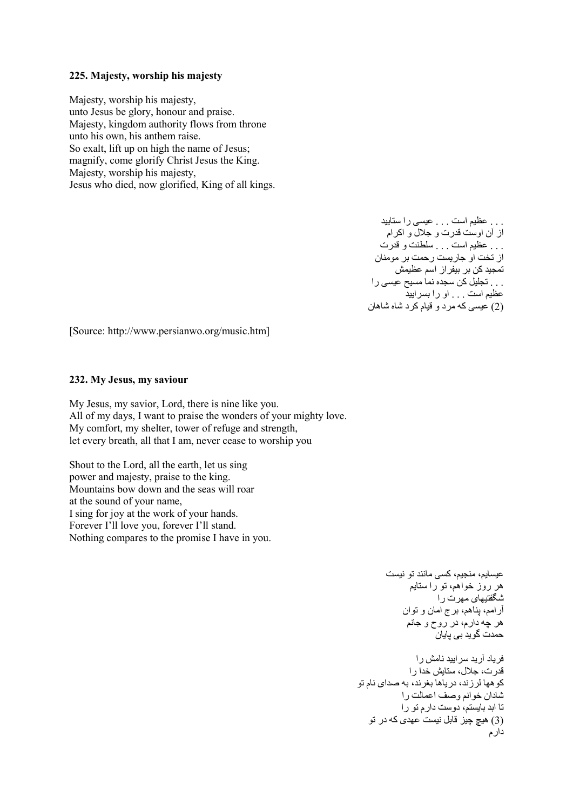### 225. Majesty, worship his majesty

Majesty, worship his majesty, unto Jesus be glory, honour and praise. Majesty, kingdom authority flows from throne unto his own, his anthem raise. So exalt, lift up on high the name of Jesus; magnify, come glorify Christ Jesus the King. Majesty, worship his majesty, Jesus who died, now glorified, King of all kings.

> . . . عظيم است . . . عيسی را ستاييد از آن اوست قدرت و جلال و اکرام . . . عظيم است . . . سلطنت و قدرت از تخت او جاريست رحمت بر مومنان تمجيد کن بر بيفراز اسم عظيمش . . . تجليل کن سجده نما مسيح عيسی را عظيم است . . . او را بسراييد (2) عيسی که مرد و قيام کرد شاه شاهان

[Source: http://www.persianwo.org/music.htm]

## 232. My Jesus, my saviour

My Jesus, my savior, Lord, there is nine like you. All of my days, I want to praise the wonders of your mighty love. My comfort, my shelter, tower of refuge and strength, let every breath, all that I am, never cease to worship you

Shout to the Lord, all the earth, let us sing power and majesty, praise to the king. Mountains bow down and the seas will roar at the sound of your name, I sing for joy at the work of your hands. Forever I'll love you, forever I'll stand. Nothing compares to the promise I have in you.

> عيسايم، منجيم، کسی مانند تو نيست هر روز خواهم، تو را ستايم شگفتيهای مهرت را آرامم، پناهم، برج امان و توان هر چه دارم، در روح و جانم حمدت گويد بی پايان فرياد آريد سراييد نامش را

```
قدرت، جلال، ستايش خدا را
کوهها لرزند، درياها بغرند، به صدای نام تو
          شادان خوانم وصف اعمالت را
           تا ابد بايستم، دوست دارم تو را
   (3) هيچ چيز قابل نيست عهدی که در تو
                                   دارم
```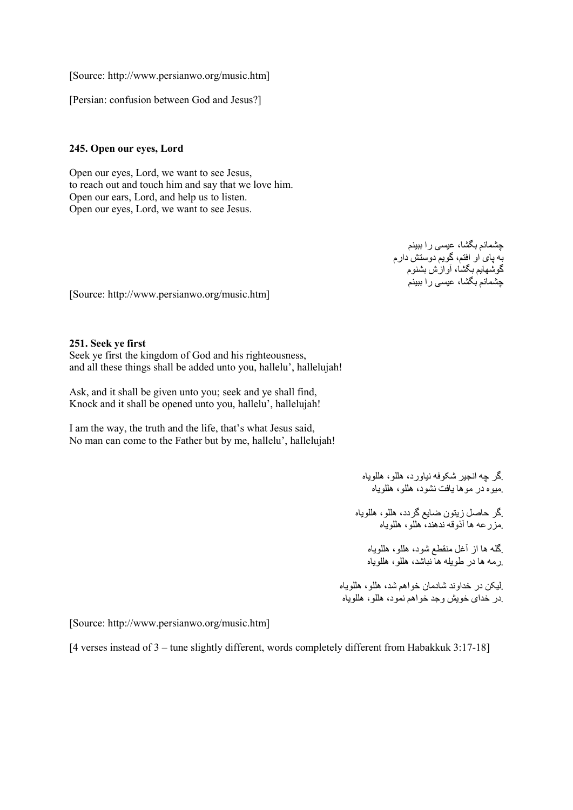[Source: http://www.persianwo.org/music.htm]

[Persian: confusion between God and Jesus?]

## 245. Open our eyes, Lord

Open our eyes, Lord, we want to see Jesus, to reach out and touch him and say that we love him. Open our ears, Lord, and help us to listen. Open our eyes, Lord, we want to see Jesus.

> چشمانم بگشا، عيسی را ببينم به پای او افتم، گويم دوستش دارم گوشهايم بگشا، آوازش بشنوم چشمانم بگشا، عيسی را ببينم

[Source: http://www.persianwo.org/music.htm]

## 251. Seek ye first

Seek ye first the kingdom of God and his righteousness, and all these things shall be added unto you, hallelu', hallelujah!

Ask, and it shall be given unto you; seek and ye shall find, Knock and it shall be opened unto you, hallelu', hallelujah!

I am the way, the truth and the life, that's what Jesus said, No man can come to the Father but by me, hallelu', hallelujah!

> .گر چه انجير شکوفه نياورد، هللو، هللوياه .ميوه در موها يافت نشود، هللو، هللوياه

 .گر حاصل زيتون ضايع گردد، هللو، هللوياه .مزرعه ها آذوقه ندهند، هللو، هللوياه

 .گله ها از آغل منقطع شود، هللو، هللوياه .رمه ها در طويله ها نباشد، هللو، هللوياه

 .ليکن در خداوند شادمان خواهم شد، هللو، هللوياه .در خدای خويش وجد خواهم نمود، هللو، هللوياه

[Source: http://www.persianwo.org/music.htm]

[4 verses instead of 3 – tune slightly different, words completely different from Habakkuk 3:17-18]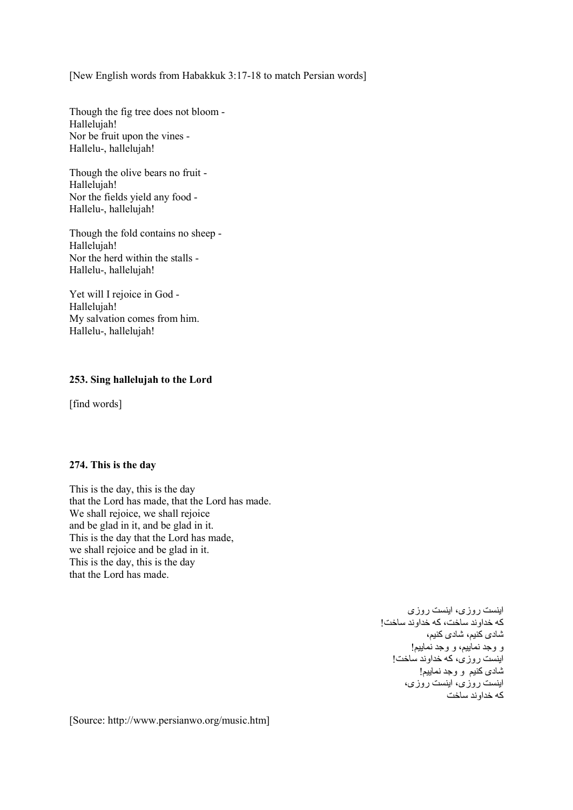[New English words from Habakkuk 3:17-18 to match Persian words]

Though the fig tree does not bloom - Hallelujah! Nor be fruit upon the vines - Hallelu-, hallelujah!

Though the olive bears no fruit - Hallelujah! Nor the fields yield any food - Hallelu-, hallelujah!

Though the fold contains no sheep - Hallelujah! Nor the herd within the stalls - Hallelu-, hallelujah!

Yet will I rejoice in God - Hallelujah! My salvation comes from him. Hallelu-, hallelujah!

# 253. Sing hallelujah to the Lord

[find words]

## 274. This is the day

This is the day, this is the day that the Lord has made, that the Lord has made. We shall rejoice, we shall rejoice and be glad in it, and be glad in it. This is the day that the Lord has made, we shall rejoice and be glad in it. This is the day, this is the day that the Lord has made.

> اينست روزی، اينست روزی که خداوند ساخت، که خداوند ساخت ! شادی کنيم، شادی کنيم، و وجد نماييم، و وجد نماييم ! اينست روزی، که خداوند ساخت ! شادی کنيم و وجد نماييم ! اينست روزی، اينست روزی ، که خداوند ساخت

[Source: http://www.persianwo.org/music.htm]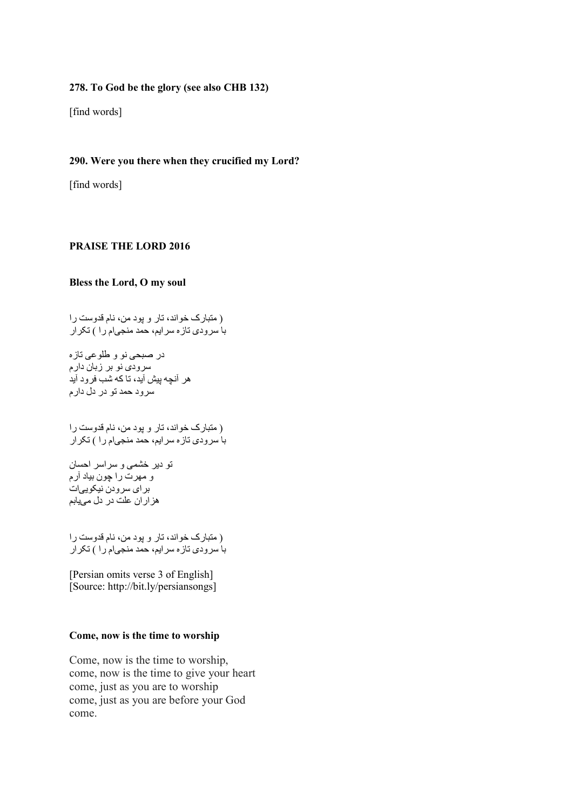# 278. To God be the glory (see also CHB 132)

[find words]

# 290. Were you there when they crucified my Lord?

[find words]

# PRAISE THE LORD 2016

# Bless the Lord, O my soul

```
( متبارک خواند، تار و پود من، نام قدوست را
با سرودی تازه سرايم، حمد منجیام را ) تکرار
```
در صبحی نو و طلوعی تازه سرودی نو بر زبان دارم هر آنچه پيش آيد، تا که شب فرود آي د سرود حمد تو در دل دارم

( متبارک خواند، تار و پود من، نام قدوست را با سرودی تازه سرايم، حمد منجیام را ) تکرار

تو دير خشمی و سراسر احسان و مهرت را چون بياد آرم برای سرودن نيکويیات هزاران علت در دل میي ابم

( متبارک خواند، تار و پود من، نام قدوست را با سرودی تازه سرايم، حمد منجیام را ) تکرار

[Persian omits verse 3 of English] [Source: http://bit.ly/persiansongs]

# Come, now is the time to worship

Come, now is the time to worship, come, now is the time to give your heart come, just as you are to worship come, just as you are before your God come.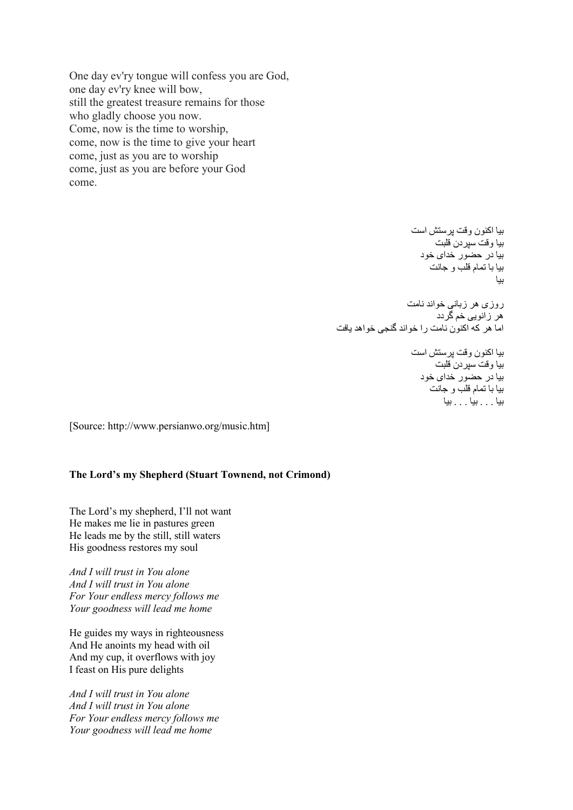One day ev'ry tongue will confess you are God, one day ev'ry knee will bow, still the greatest treasure remains for those who gladly choose you now. Come, now is the time to worship, come, now is the time to give your heart come, just as you are to worship come, just as you are before your God come.

> بيا اکنون وقت پرستش است بيا وقت سپردن قلبت بيا در حضور خدای خود بيا با تمام قلب و جانت بيا

روزی هر زبانی خواند نامت هر زانويی خم گردد اما هر که اکنون نامت را خواند گنجی خواهد يافت

> بيا اکنون وقت پرستش است بيا وقت سپردن قلبت بيا در حضور خدای خود بيا با تمام قلب و جانت بيا . . . بيا . . . بيا

[Source: http://www.persianwo.org/music.htm]

## The Lord's my Shepherd (Stuart Townend, not Crimond)

The Lord's my shepherd, I'll not want He makes me lie in pastures green He leads me by the still, still waters His goodness restores my soul

And I will trust in You alone And I will trust in You alone For Your endless mercy follows me Your goodness will lead me home

He guides my ways in righteousness And He anoints my head with oil And my cup, it overflows with joy I feast on His pure delights

And I will trust in You alone And I will trust in You alone For Your endless mercy follows me Your goodness will lead me home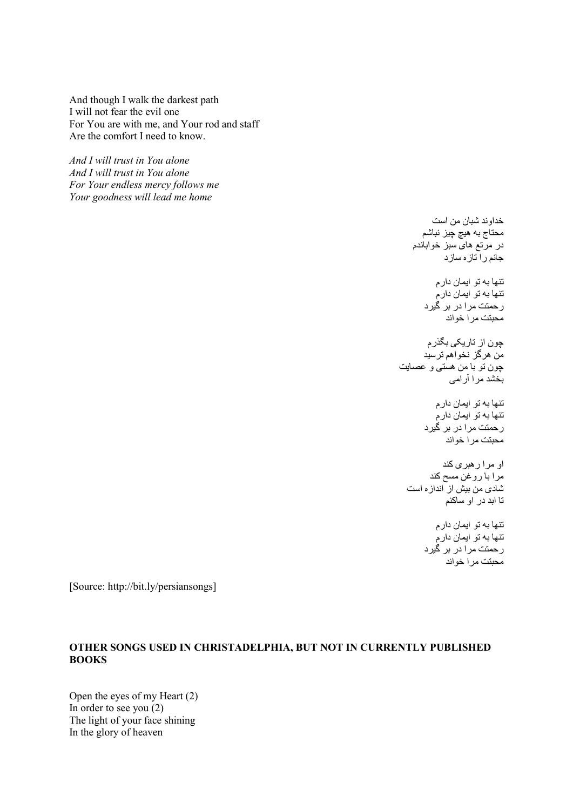And though I walk the darkest path I will not fear the evil one For You are with me, and Your rod and staff Are the comfort I need to know.

And I will trust in You alone And I will trust in You alone For Your endless mercy follows me Your goodness will lead me home

> خداوند شبان من است محتاج به هيچ چيز نباشم در مرتع های سبز خواباندم جانم را تازه سازد تنها به تو ايمان دارم تنها به تو ايمان دارم رحمتت مرا در بر گيرد محبتت مرا خواند چون از تاريکی بگذرم من هرگز نخواهم ترسي د چون تو با من هستی و عصاي ت بُخشد مرا آرامی تنها به تو ايمان دارم تنها به تو ايمان دارم رحمتت مرا در بر گيرد محبتت مرا خواند او مرا رهبری کند مرا با روغن مسح کند شادی من بيش از اندازه است تا ابد در او ساکنم تنها به تو ايمان دارم تنها به تو ايمان دارم

رحمتت مرا در بر گيرد محبتت مرا خواند

[Source: http://bit.ly/persiansongs]

# OTHER SONGS USED IN CHRISTADELPHIA, BUT NOT IN CURRENTLY PUBLISHED BOOKS

Open the eyes of my Heart (2) In order to see you (2) The light of your face shining In the glory of heaven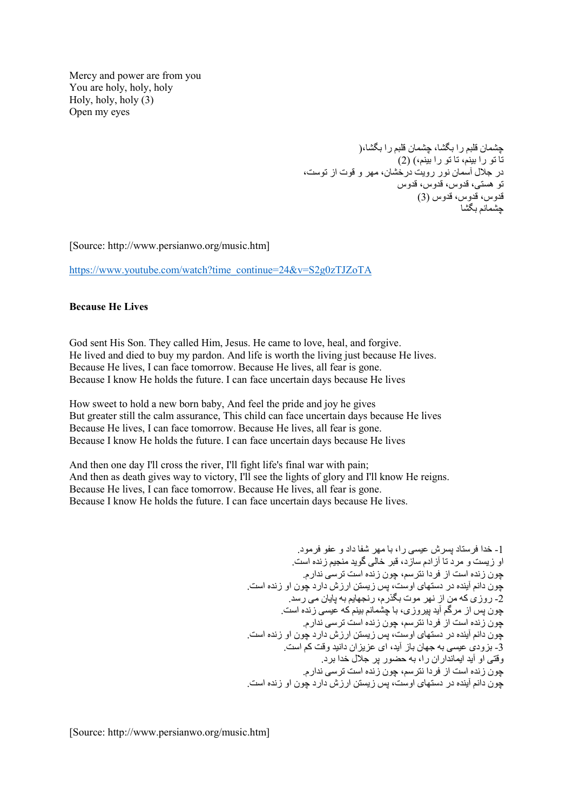Mercy and power are from you You are holy, holy, holy Holy, holy, holy (3) Open my eyes

> چشمان قلبم را بگشا، چشمان قلبم را بگشا،( تا تو را بينم، تا تو را بينم،) (2 ) در جلال آسمان نور رويت درخشان، مهر و قوت از توست، تو هستی، قدوس، قدوس، قدوس قدوس، قدوس، قدوس (3 ) چشمانم بگشا

[Source: http://www.persianwo.org/music.htm]

https://www.youtube.com/watch?time\_continue=24&v=S2g0zTJZoTA

## Because He Lives

God sent His Son. They called Him, Jesus. He came to love, heal, and forgive. He lived and died to buy my pardon. And life is worth the living just because He lives. Because He lives, I can face tomorrow. Because He lives, all fear is gone. Because I know He holds the future. I can face uncertain days because He lives

How sweet to hold a new born baby, And feel the pride and joy he gives But greater still the calm assurance, This child can face uncertain days because He lives Because He lives, I can face tomorrow. Because He lives, all fear is gone. Because I know He holds the future. I can face uncertain days because He lives

And then one day I'll cross the river, I'll fight life's final war with pain; And then as death gives way to victory, I'll see the lights of glory and I'll know He reigns. Because He lives, I can face tomorrow. Because He lives, all fear is gone. Because I know He holds the future. I can face uncertain days because He lives.

> -1 خدا فرستاد پسرش عيسی را، با مهر شفا داد و عفو فرمود . او زيست و مرد تا آزادم سازد، قبر خالی گويد منجيم زنده است . چون زنده است از فردا نترسم، چون زنده است ترسی ندارم . چون دانم آينده در دستهای اوست، پس زيستن ارزش دارد چون او زنده است . -2 روزی که من از نهر موت بگذرم، رنجهايم به پايان می رسد . چون پس از مرگم آيد پيروزی، با چشمانم بينم که عيسی زنده است . چون زنده است از فردا نترسم، چون زنده است ترسی ندارم . چون دانم آينده در دستهای اوست، پس زيستن ارزش دارد چون او زنده است . -3 بزودی عيسی به جهان باز آيد، ای عزيزان دانيد وقت کم است . وقتی او آيد ايمانداران را، به حضور پر جلال خدا برد . چون زنده است از فردا نترسم، چون زنده است ترسی ندارم . چون دانم آينده در دستهای اوست، پس زيستن ارزش دارد چون او زنده است .

[Source: http://www.persianwo.org/music.htm]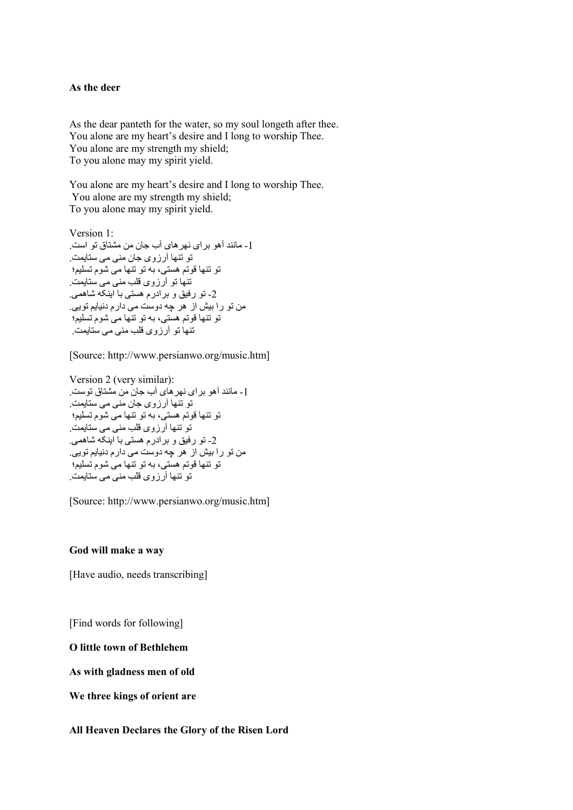## As the deer

As the dear panteth for the water, so my soul longeth after thee. You alone are my heart's desire and I long to worship Thee. You alone are my strength my shield; To you alone may my spirit yield.

You alone are my heart's desire and I long to worship Thee. You alone are my strength my shield; To you alone may my spirit yield.

```
Version 1: 
-1 مانند آهو برای نهرهای آب جان من مشتاق تو است .
تو تنها آرزوی جان منی می ستايمت .
تو تنها قوتم هستی، به تو تنها می شوم تسليم؛ 
تنها تو آرزوی قلب منی می ستايمت .
-2 تو رفيق و برادرم هستی با اينکه شاهمی .
من تو را بيش از هر چه دوست می دارم دنيايم تويی .
تو تنها قوتم هستی، به تو تنها می شوم تسليم؛ 
تنها تو آرزوی قلب منی می ستايمت .
```
[Source: http://www.persianwo.org/music.htm]

```
Version 2 (very similar): 
-1 مانند آهو برای نهرهای آب جان من مشتاق توست .
تو تنها آرزوی جان منی می ستايمت .
تو تنها قوتم هستی، به تو تنها می شوم تسليم؛ 
تو تنها آرزوی قلب منی می ستايمت .
-2 تو رفيق و برادرم هستی با اينکه شاهمی .
من تو را بيش از هر چه دوست می دارم دنيايم تويی .
تو تنها قوتم هستی، به تو تنها می شوم تسليم؛ 
تو تنها آرزوی قلب منی می ستايمت .
```
[Source: http://www.persianwo.org/music.htm]

## God will make a way

[Have audio, needs transcribing]

[Find words for following]

O little town of Bethlehem

As with gladness men of old

We three kings of orient are

All Heaven Declares the Glory of the Risen Lord